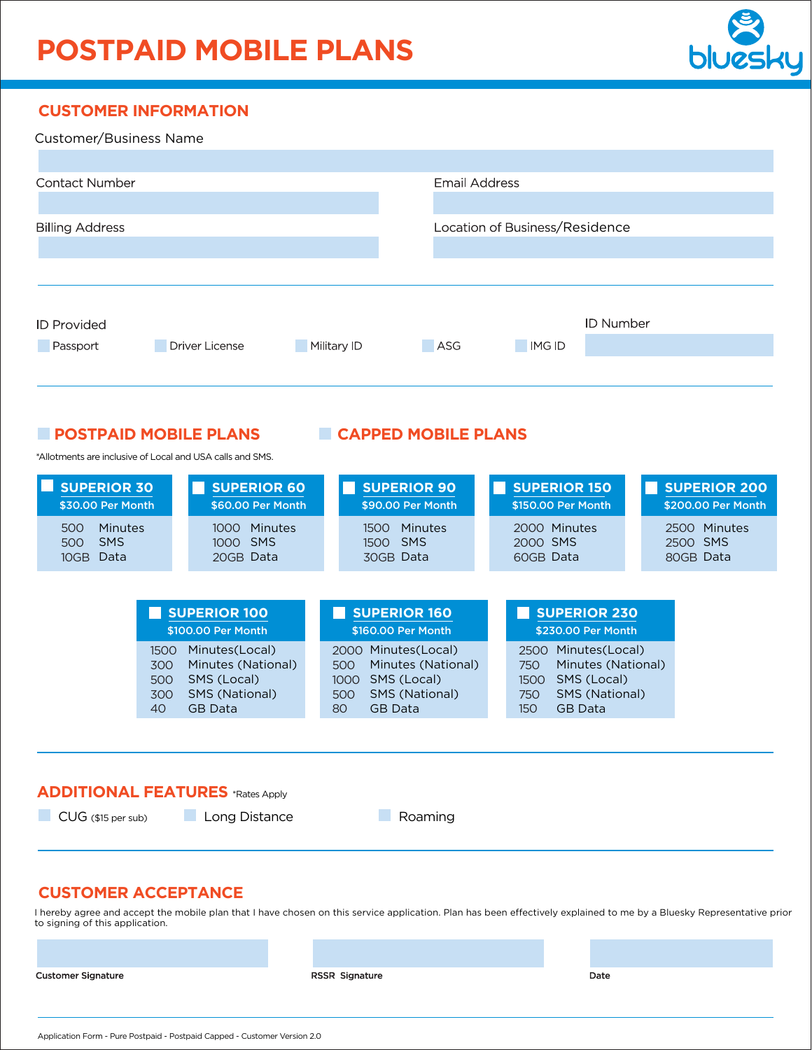# **POSTPAID MOBILE PLANS**



### **CUSTOMER INFORMATION**

| Customer/Business Name         |                       |             |                                |               |                  |
|--------------------------------|-----------------------|-------------|--------------------------------|---------------|------------------|
| <b>Contact Number</b>          |                       |             | <b>Email Address</b>           |               |                  |
| <b>Billing Address</b>         |                       |             | Location of Business/Residence |               |                  |
|                                |                       |             |                                |               | <b>ID Number</b> |
| <b>ID Provided</b><br>Passport | <b>Driver License</b> | Military ID | ASG                            | <b>IMG ID</b> |                  |

#### **POSTPAID MOBILE PLANS CAPPED MOBILE PLANS**

\*Allotments are inclusive of Local and USA calls and SMS.

| <b>SUPERIOR 30</b><br>\$30.00 Per Month                         |                                                     | <b>SUPERIOR 60</b><br>\$60.00 Per Month |                                           | <b>SUPERIOR 90</b><br>\$90.00 Per Month             | <b>SUPERIOR 150</b><br>\$150,00 Per Month                                  |  | <b>SUPERIOR 200</b><br>\$200,00 Per Month |
|-----------------------------------------------------------------|-----------------------------------------------------|-----------------------------------------|-------------------------------------------|-----------------------------------------------------|----------------------------------------------------------------------------|--|-------------------------------------------|
| Minutes<br>500<br><b>SMS</b><br>500<br>10 <sub>GB</sub><br>Data | 1000                                                | Minutes<br>1000 SMS<br>20GB Data        |                                           | Minutes<br>1500<br>1500 SMS<br>30GB Data            | 2000 Minutes<br>2000 SMS<br>60GB Data                                      |  | 2500 Minutes<br>2500 SMS<br>80GB Data     |
| <b>SUPERIOR 100</b><br>\$100.00 Per Month                       |                                                     |                                         | <b>SUPERIOR 160</b><br>\$160.00 Per Month |                                                     | <b>SUPERIOR 230</b><br>\$230.00 Per Month                                  |  |                                           |
|                                                                 | Minutes(Local)<br>1500<br>300<br>SMS (Local)<br>500 | Minutes (National)                      | 2000<br>500<br>1000                       | Minutes(Local)<br>Minutes (National)<br>SMS (Local) | Minutes(Local)<br>2500<br>Minutes (National)<br>750<br>SMS (Local)<br>1500 |  |                                           |

500 SMS (National)

GB Data

80

#### **ADDITIONAL FEATURES** \*Rates Apply

40

**CUG** (\$15 per sub) Long Distance Roaming

300 SMS (National)

GB Data

### **CUSTOMER ACCEPTANCE**

I hereby agree and accept the mobile plan that I have chosen on this service application. Plan has been effectively explained to me by a Bluesky Representative prior to signing of this application.

**Customer Signature** 

RSSR Signature

Date

750 SMS (National)

GB Data

150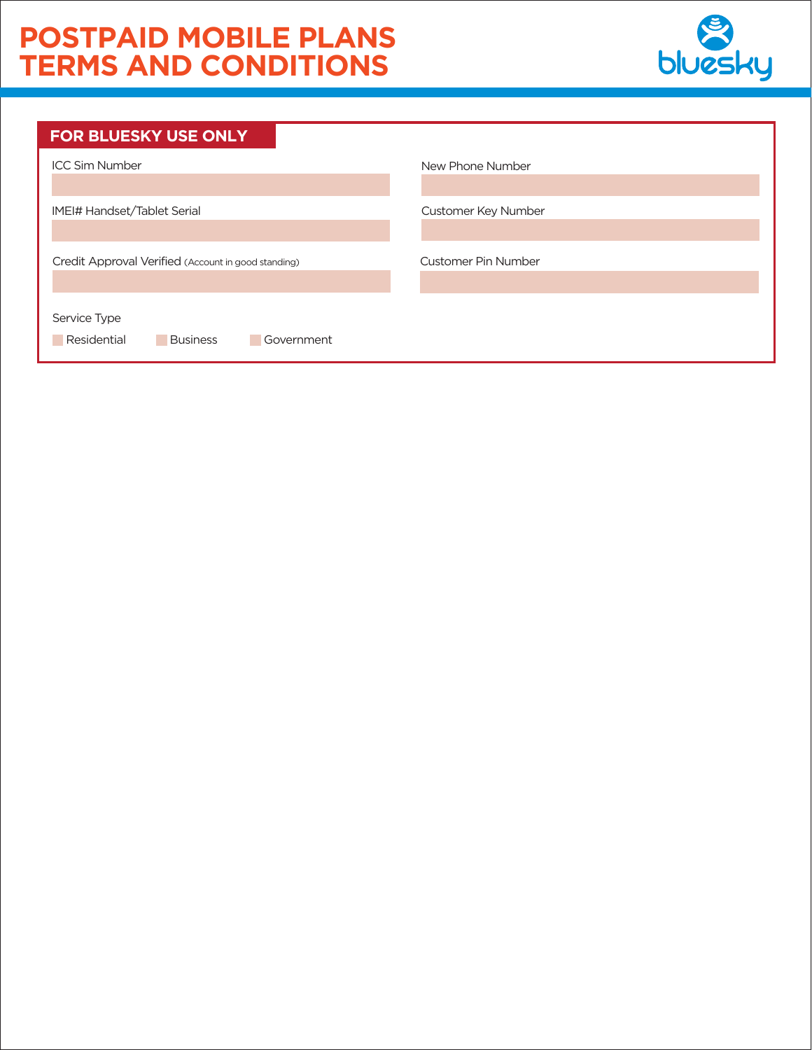## **POSTPAID MOBILE PLANS TERMS AND CONDITIONS**



| <b>FOR BLUESKY USE ONLY</b>                                  |                            |
|--------------------------------------------------------------|----------------------------|
| <b>ICC Sim Number</b>                                        | New Phone Number           |
|                                                              |                            |
| IMEI# Handset/Tablet Serial                                  | Customer Key Number        |
|                                                              |                            |
| Credit Approval Verified (Account in good standing)          | <b>Customer Pin Number</b> |
| Service Type<br>Residential<br>Government<br><b>Business</b> |                            |